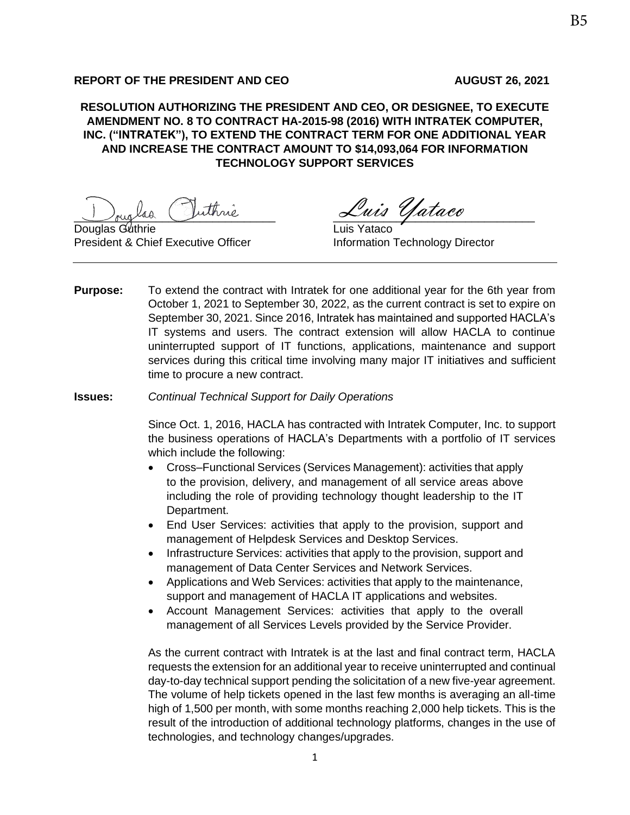#### **REPORT OF THE PRESIDENT AND CEO AUGUST 26, 2021**

**RESOLUTION AUTHORIZING THE PRESIDENT AND CEO, OR DESIGNEE, TO EXECUTE AMENDMENT NO. 8 TO CONTRACT HA-2015-98 (2016) WITH INTRATEK COMPUTER, INC. ("INTRATEK"), TO EXTEND THE CONTRACT TERM FOR ONE ADDITIONAL YEAR AND INCREASE THE CONTRACT AMOUNT TO \$14,093,064 FOR INFORMATION TECHNOLOGY SUPPORT SERVICES** 

Douglas Juthrie Luis Yataco

Douglas Guthrie President & Chief Executive Officer **Information Technology Director** 

**Purpose:** To extend the contract with Intratek for one additional year for the 6th year from October 1, 2021 to September 30, 2022, as the current contract is set to expire on September 30, 2021. Since 2016, Intratek has maintained and supported HACLA's IT systems and users. The contract extension will allow HACLA to continue uninterrupted support of IT functions, applications, maintenance and support services during this critical time involving many major IT initiatives and sufficient time to procure a new contract.

**Issues:** *Continual Technical Support for Daily Operations*

Since Oct. 1, 2016, HACLA has contracted with Intratek Computer, Inc. to support the business operations of HACLA's Departments with a portfolio of IT services which include the following:

- Cross–Functional Services (Services Management): activities that apply to the provision, delivery, and management of all service areas above including the role of providing technology thought leadership to the IT Department.
- End User Services: activities that apply to the provision, support and management of Helpdesk Services and Desktop Services.
- Infrastructure Services: activities that apply to the provision, support and management of Data Center Services and Network Services.
- Applications and Web Services: activities that apply to the maintenance, support and management of HACLA IT applications and websites.
- Account Management Services: activities that apply to the overall management of all Services Levels provided by the Service Provider.

As the current contract with Intratek is at the last and final contract term, HACLA requests the extension for an additional year to receive uninterrupted and continual day-to-day technical support pending the solicitation of a new five-year agreement. The volume of help tickets opened in the last few months is averaging an all-time high of 1,500 per month, with some months reaching 2,000 help tickets. This is the result of the introduction of additional technology platforms, changes in the use of technologies, and technology changes/upgrades.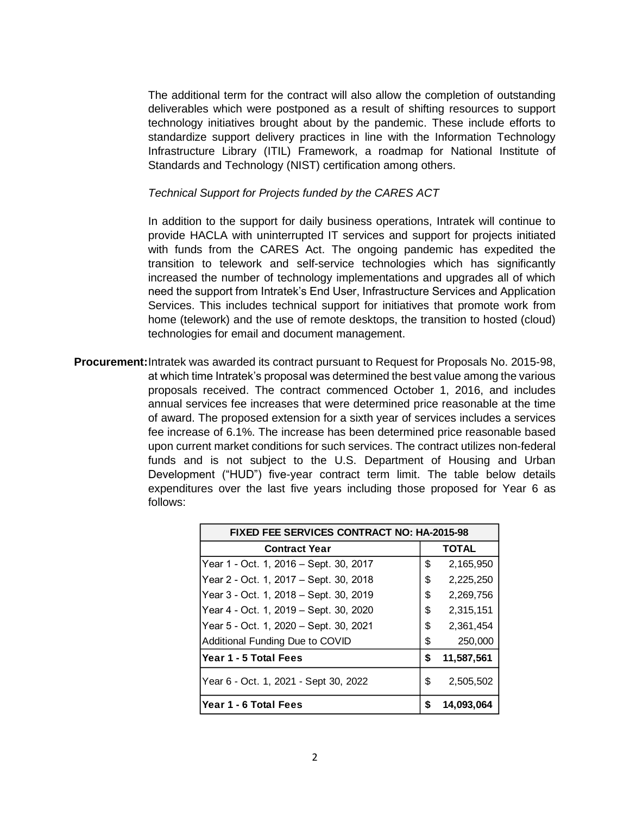The additional term for the contract will also allow the completion of outstanding deliverables which were postponed as a result of shifting resources to support technology initiatives brought about by the pandemic. These include efforts to standardize support delivery practices in line with the Information Technology Infrastructure Library (ITIL) Framework, a roadmap for National Institute of Standards and Technology (NIST) certification among others.

#### *Technical Support for Projects funded by the CARES ACT*

In addition to the support for daily business operations, Intratek will continue to provide HACLA with uninterrupted IT services and support for projects initiated with funds from the CARES Act. The ongoing pandemic has expedited the transition to telework and self-service technologies which has significantly increased the number of technology implementations and upgrades all of which need the support from Intratek's End User, Infrastructure Services and Application Services. This includes technical support for initiatives that promote work from home (telework) and the use of remote desktops, the transition to hosted (cloud) technologies for email and document management.

**Procurement:**Intratek was awarded its contract pursuant to Request for Proposals No. 2015-98, at which time Intratek's proposal was determined the best value among the various proposals received. The contract commenced October 1, 2016, and includes annual services fee increases that were determined price reasonable at the time of award. The proposed extension for a sixth year of services includes a services fee increase of 6.1%. The increase has been determined price reasonable based upon current market conditions for such services. The contract utilizes non-federal funds and is not subject to the U.S. Department of Housing and Urban Development ("HUD") five-year contract term limit. The table below details expenditures over the last five years including those proposed for Year 6 as follows:

| <b>FIXED FEE SERVICES CONTRACT NO: HA-2015-98</b> |    |              |
|---------------------------------------------------|----|--------------|
| <b>Contract Year</b>                              |    | <b>TOTAL</b> |
| Year 1 - Oct. 1, 2016 – Sept. 30, 2017            | \$ | 2,165,950    |
| Year 2 - Oct. 1, 2017 – Sept. 30, 2018            | \$ | 2,225,250    |
| Year 3 - Oct. 1, 2018 - Sept. 30, 2019            | \$ | 2,269,756    |
| Year 4 - Oct. 1, 2019 - Sept. 30, 2020            | \$ | 2,315,151    |
| Year 5 - Oct. 1, 2020 - Sept. 30, 2021            | \$ | 2,361,454    |
| Additional Funding Due to COVID                   | \$ | 250,000      |
| Year 1 - 5 Total Fees                             | S  | 11,587,561   |
| Year 6 - Oct. 1, 2021 - Sept 30, 2022             | \$ | 2,505,502    |
| Year 1 - 6 Total Fees                             | S  | 14,093,064   |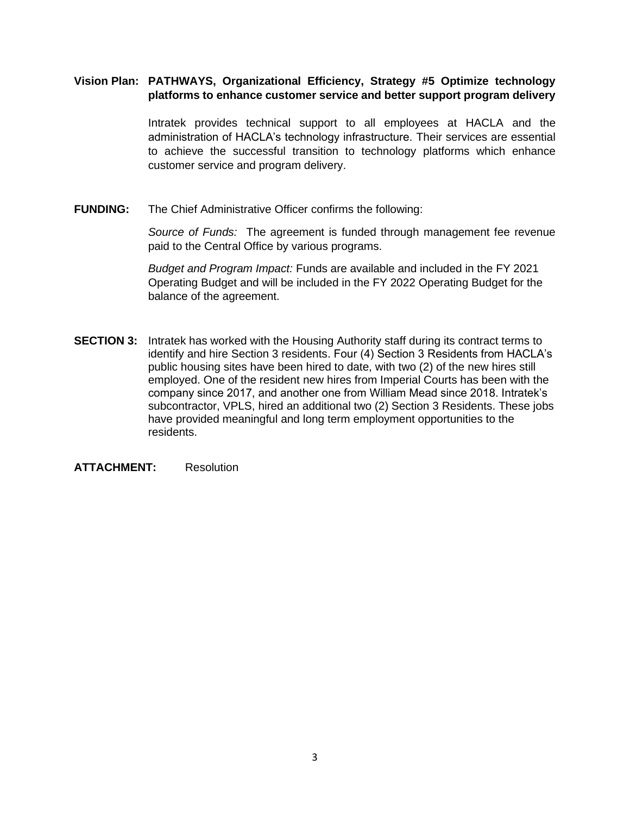### **Vision Plan: PATHWAYS, Organizational Efficiency, Strategy #5 Optimize technology platforms to enhance customer service and better support program delivery**

Intratek provides technical support to all employees at HACLA and the administration of HACLA's technology infrastructure. Their services are essential to achieve the successful transition to technology platforms which enhance customer service and program delivery.

**FUNDING:** The Chief Administrative Officer confirms the following:

*Source of Funds:* The agreement is funded through management fee revenue paid to the Central Office by various programs.

*Budget and Program Impact:* Funds are available and included in the FY 2021 Operating Budget and will be included in the FY 2022 Operating Budget for the balance of the agreement.

**SECTION 3:** Intratek has worked with the Housing Authority staff during its contract terms to identify and hire Section 3 residents. Four (4) Section 3 Residents from HACLA's public housing sites have been hired to date, with two (2) of the new hires still employed. One of the resident new hires from Imperial Courts has been with the company since 2017, and another one from William Mead since 2018. Intratek's subcontractor, VPLS, hired an additional two (2) Section 3 Residents. These jobs have provided meaningful and long term employment opportunities to the residents.

**ATTACHMENT:** Resolution